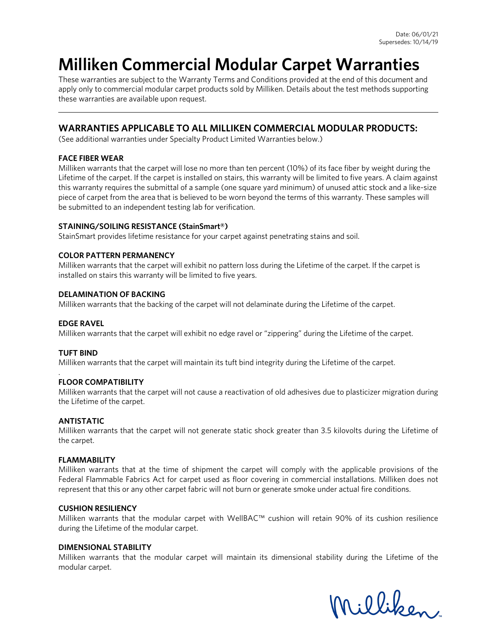# **Milliken Commercial Modular Carpet Warranties**

These warranties are subject to the Warranty Terms and Conditions provided at the end of this document and apply only to commercial modular carpet products sold by Milliken. Details about the test methods supporting these warranties are available upon request.

# **WARRANTIES APPLICABLE TO ALL MILLIKEN COMMERCIAL MODULAR PRODUCTS:**

(See additional warranties under Specialty Product Limited Warranties below.)

## **FACE FIBER WEAR**

Milliken warrants that the carpet will lose no more than ten percent (10%) of its face fiber by weight during the Lifetime of the carpet. If the carpet is installed on stairs, this warranty will be limited to five years. A claim against this warranty requires the submittal of a sample (one square yard minimum) of unused attic stock and a like-size piece of carpet from the area that is believed to be worn beyond the terms of this warranty. These samples will be submitted to an independent testing lab for verification.

## **STAINING/SOILING RESISTANCE (StainSmart®)**

StainSmart provides lifetime resistance for your carpet against penetrating stains and soil.

## **COLOR PATTERN PERMANENCY**

Milliken warrants that the carpet will exhibit no pattern loss during the Lifetime of the carpet. If the carpet is installed on stairs this warranty will be limited to five years.

## **DELAMINATION OF BACKING**

Milliken warrants that the backing of the carpet will not delaminate during the Lifetime of the carpet.

#### **EDGE RAVEL**

Milliken warrants that the carpet will exhibit no edge ravel or "zippering" during the Lifetime of the carpet.

# **TUFT BIND**

.

Milliken warrants that the carpet will maintain its tuft bind integrity during the Lifetime of the carpet.

#### **FLOOR COMPATIBILITY**

Milliken warrants that the carpet will not cause a reactivation of old adhesives due to plasticizer migration during the Lifetime of the carpet.

#### **ANTISTATIC**

Milliken warrants that the carpet will not generate static shock greater than 3.5 kilovolts during the Lifetime of the carpet.

#### **FLAMMABILITY**

Milliken warrants that at the time of shipment the carpet will comply with the applicable provisions of the [Federal Flammable Fabrics Act f](http://www.carpet-rug.org/drill_down_2.cfm?page=13&sub=11&requesttimeout=350)or carpet used as floor covering in commercial installations. Milliken does not represent that this or any other carpet fabric will not burn or generate smoke under actual fire conditions.

#### **CUSHION RESILIENCY**

Milliken warrants that the modular carpet with WellBAC™ cushion will retain 90% of its cushion resilience during the Lifetime of the modular carpet.

#### **DIMENSIONAL STABILITY**

Milliken warrants that the modular carpet will maintain its dimensional stability during the Lifetime of the modular carpet.

Milliken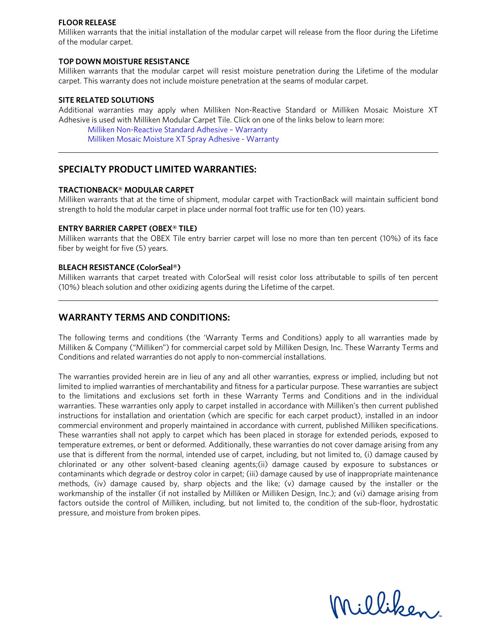#### **FLOOR RELEASE**

Milliken warrants that the initial installation of the modular carpet will release from the floor during the Lifetime of the modular carpet.

#### **TOP DOWN MOISTURE RESISTANCE**

Milliken warrants that the modular carpet will resist moisture penetration during the Lifetime of the modular carpet. This warranty does not include moisture penetration at the seams of modular carpet.

#### **SITE RELATED SOLUTIONS**

Additional warranties may apply when Milliken Non-Reactive Standard or Milliken Mosaic Moisture XT Adhesive is used with Milliken Modular Carpet Tile. Click on one of the links below to learn more:

[Milliken Non-Reactive Standard Adhesive –](https://floors.milliken.com/docs/default-source/americas-documents/technical-documents/site-related-solutions/warranties/milliken-adhesive-warranty---non-reactive-standard.pdf?sfvrsn=9de9c2b4_18) Warranty [Milliken Mosaic Moisture XT](https://floors.milliken.com/docs/default-source/americas-documents/technical-documents/site-related-solutions/warranties/milliken-mosaic-moisture-xt-spray-adhesive-warranty-03-04-20.pdf?sfvrsn=809bb164_10) Spray Adhesive - Warranty

# **SPECIALTY PRODUCT LIMITED WARRANTIES:**

#### **TRACTIONBACK® MODULAR CARPET**

Milliken warrants that at the time of shipment, modular carpet with TractionBack will maintain sufficient bond strength to hold the modular carpet in place under normal foot traffic use for ten (10) years.

#### **ENTRY BARRIER CARPET (OBEX® TILE)**

Milliken warrants that the OBEX Tile entry barrier carpet will lose no more than ten percent (10%) of its face fiber by weight for five (5) years.

#### **BLEACH RESISTANCE (ColorSeal®)**

Milliken warrants that carpet treated with ColorSeal will resist color loss attributable to spills of ten percent (10%) bleach solution and other oxidizing agents during the Lifetime of the carpet.

# **WARRANTY TERMS AND CONDITIONS:**

The following terms and conditions (the 'Warranty Terms and Conditions) apply to all warranties made by Milliken & Company ("Milliken") for commercial carpet sold by Milliken Design, Inc. These Warranty Terms and Conditions and related warranties do not apply to non-commercial installations.

The warranties provided herein are in lieu of any and all other warranties, express or implied, including but not limited to implied warranties of merchantability and fitness for a particular purpose. These warranties are subject to the limitations and exclusions set forth in these Warranty Terms and Conditions and in the individual warranties. These warranties only apply to carpet installed in accordance with Milliken's then current published instructions for installation and orientation (which are specific for each carpet product), installed in an indoor commercial environment and properly maintained in accordance with current, published Milliken specifications. These warranties shall not apply to carpet which has been placed in storage for extended periods, exposed to temperature extremes, or bent or deformed. Additionally, these warranties do not cover damage arising from any use that is different from the normal, intended use of carpet, including, but not limited to, (i) damage caused by chlorinated or any other solvent-based cleaning agents;(ii) damage caused by exposure to substances or contaminants which degrade or destroy color in carpet; (iii) damage caused by use of inappropriate maintenance methods, (iv) damage caused by, sharp objects and the like; (v) damage caused by the installer or the workmanship of the installer (if not installed by Milliken or Milliken Design, Inc.); and (vi) damage arising from factors outside the control of Milliken, including, but not limited to, the condition of the sub-floor, hydrostatic pressure, and moisture from broken pipes.

Milliken